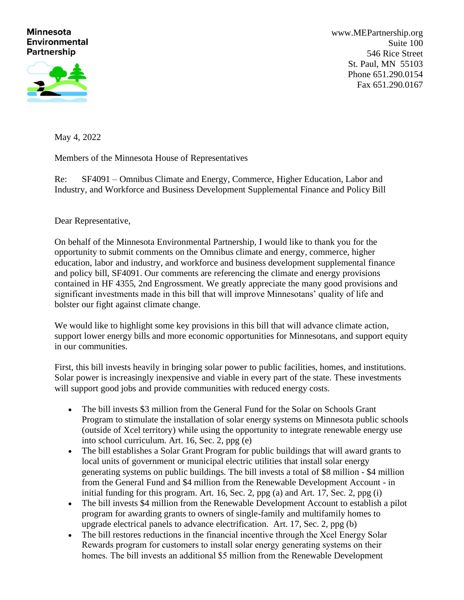## **Minnesota Environmental Partnership**



[www.MEPartnership.org](http://www.mepartnership.org/) Suite 100 546 Rice Street St. Paul, MN 55103 Phone 651.290.0154 Fax 651.290.0167

May 4, 2022

Members of the Minnesota House of Representatives

Re: SF4091 – Omnibus Climate and Energy, Commerce, Higher Education, Labor and Industry, and Workforce and Business Development Supplemental Finance and Policy Bill

Dear Representative,

On behalf of the Minnesota Environmental Partnership, I would like to thank you for the opportunity to submit comments on the Omnibus climate and energy, commerce, higher education, labor and industry, and workforce and business development supplemental finance and policy bill, SF4091. Our comments are referencing the climate and energy provisions contained in HF 4355, 2nd Engrossment. We greatly appreciate the many good provisions and significant investments made in this bill that will improve Minnesotans' quality of life and bolster our fight against climate change.

We would like to highlight some key provisions in this bill that will advance climate action, support lower energy bills and more economic opportunities for Minnesotans, and support equity in our communities.

First, this bill invests heavily in bringing solar power to public facilities, homes, and institutions. Solar power is increasingly inexpensive and viable in every part of the state. These investments will support good jobs and provide communities with reduced energy costs.

- The bill invests \$3 million from the General Fund for the Solar on Schools Grant Program to stimulate the installation of solar energy systems on Minnesota public schools (outside of Xcel territory) while using the opportunity to integrate renewable energy use into school curriculum. Art. 16, Sec. 2, ppg (e)
- The bill establishes a Solar Grant Program for public buildings that will award grants to local units of government or municipal electric utilities that install solar energy generating systems on public buildings. The bill invests a total of \$8 million - \$4 million from the General Fund and \$4 million from the Renewable Development Account - in initial funding for this program. Art. 16, Sec. 2, ppg (a) and Art. 17, Sec. 2, ppg (i)
- The bill invests \$4 million from the Renewable Development Account to establish a pilot program for awarding grants to owners of single-family and multifamily homes to upgrade electrical panels to advance electrification. Art. 17, Sec. 2, ppg (b)
- The bill restores reductions in the financial incentive through the Xcel Energy Solar Rewards program for customers to install solar energy generating systems on their homes. The bill invests an additional \$5 million from the Renewable Development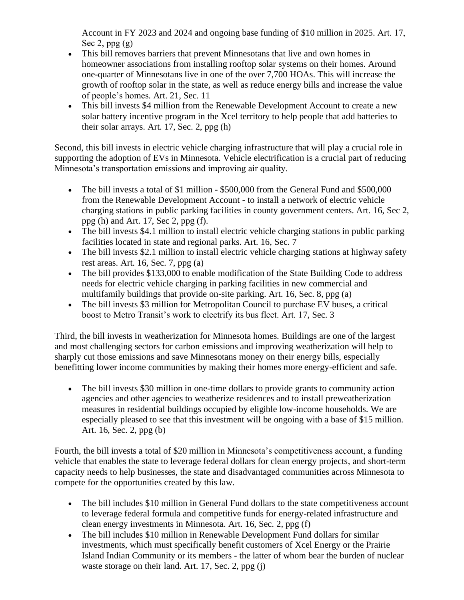Account in FY 2023 and 2024 and ongoing base funding of \$10 million in 2025. Art. 17, Sec 2,  $ppg(g)$ 

- This bill removes barriers that prevent Minnesotans that live and own homes in homeowner associations from installing rooftop solar systems on their homes. Around one-quarter of Minnesotans live in one of the over 7,700 HOAs. This will increase the growth of rooftop solar in the state, as well as reduce energy bills and increase the value of people's homes. Art. 21, Sec. 11
- This bill invests \$4 million from the Renewable Development Account to create a new solar battery incentive program in the Xcel territory to help people that add batteries to their solar arrays. Art. 17, Sec. 2, ppg (h)

Second, this bill invests in electric vehicle charging infrastructure that will play a crucial role in supporting the adoption of EVs in Minnesota. Vehicle electrification is a crucial part of reducing Minnesota's transportation emissions and improving air quality.

- The bill invests a total of \$1 million \$500,000 from the General Fund and \$500,000 from the Renewable Development Account - to install a network of electric vehicle charging stations in public parking facilities in county government centers. Art. 16, Sec 2, ppg (h) and Art. 17, Sec 2, ppg (f).
- The bill invests \$4.1 million to install electric vehicle charging stations in public parking facilities located in state and regional parks. Art. 16, Sec. 7
- The bill invests \$2.1 million to install electric vehicle charging stations at highway safety rest areas. Art. 16, Sec. 7, ppg (a)
- The bill provides \$133,000 to enable modification of the State Building Code to address needs for electric vehicle charging in parking facilities in new commercial and multifamily buildings that provide on-site parking. Art. 16, Sec. 8, ppg (a)
- The bill invests \$3 million for Metropolitan Council to purchase EV buses, a critical boost to Metro Transit's work to electrify its bus fleet. Art. 17, Sec. 3

Third, the bill invests in weatherization for Minnesota homes. Buildings are one of the largest and most challenging sectors for carbon emissions and improving weatherization will help to sharply cut those emissions and save Minnesotans money on their energy bills, especially benefitting lower income communities by making their homes more energy-efficient and safe.

• The bill invests \$30 million in one-time dollars to provide grants to community action agencies and other agencies to weatherize residences and to install preweatherization measures in residential buildings occupied by eligible low-income households. We are especially pleased to see that this investment will be ongoing with a base of \$15 million. Art. 16, Sec. 2, ppg (b)

Fourth, the bill invests a total of \$20 million in Minnesota's competitiveness account, a funding vehicle that enables the state to leverage federal dollars for clean energy projects, and short-term capacity needs to help businesses, the state and disadvantaged communities across Minnesota to compete for the opportunities created by this law.

- The bill includes \$10 million in General Fund dollars to the state competitiveness account to leverage federal formula and competitive funds for energy-related infrastructure and clean energy investments in Minnesota. Art. 16, Sec. 2, ppg (f)
- The bill includes \$10 million in Renewable Development Fund dollars for similar investments, which must specifically benefit customers of Xcel Energy or the Prairie Island Indian Community or its members - the latter of whom bear the burden of nuclear waste storage on their land. Art. 17, Sec. 2, ppg (j)